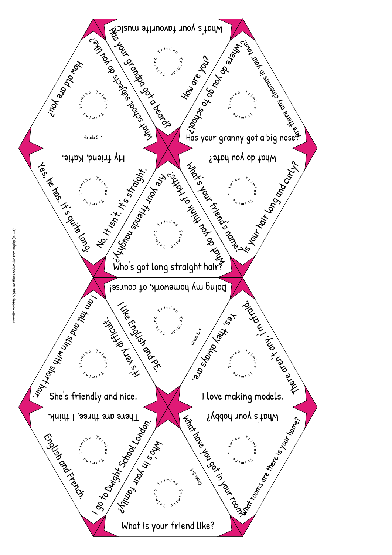